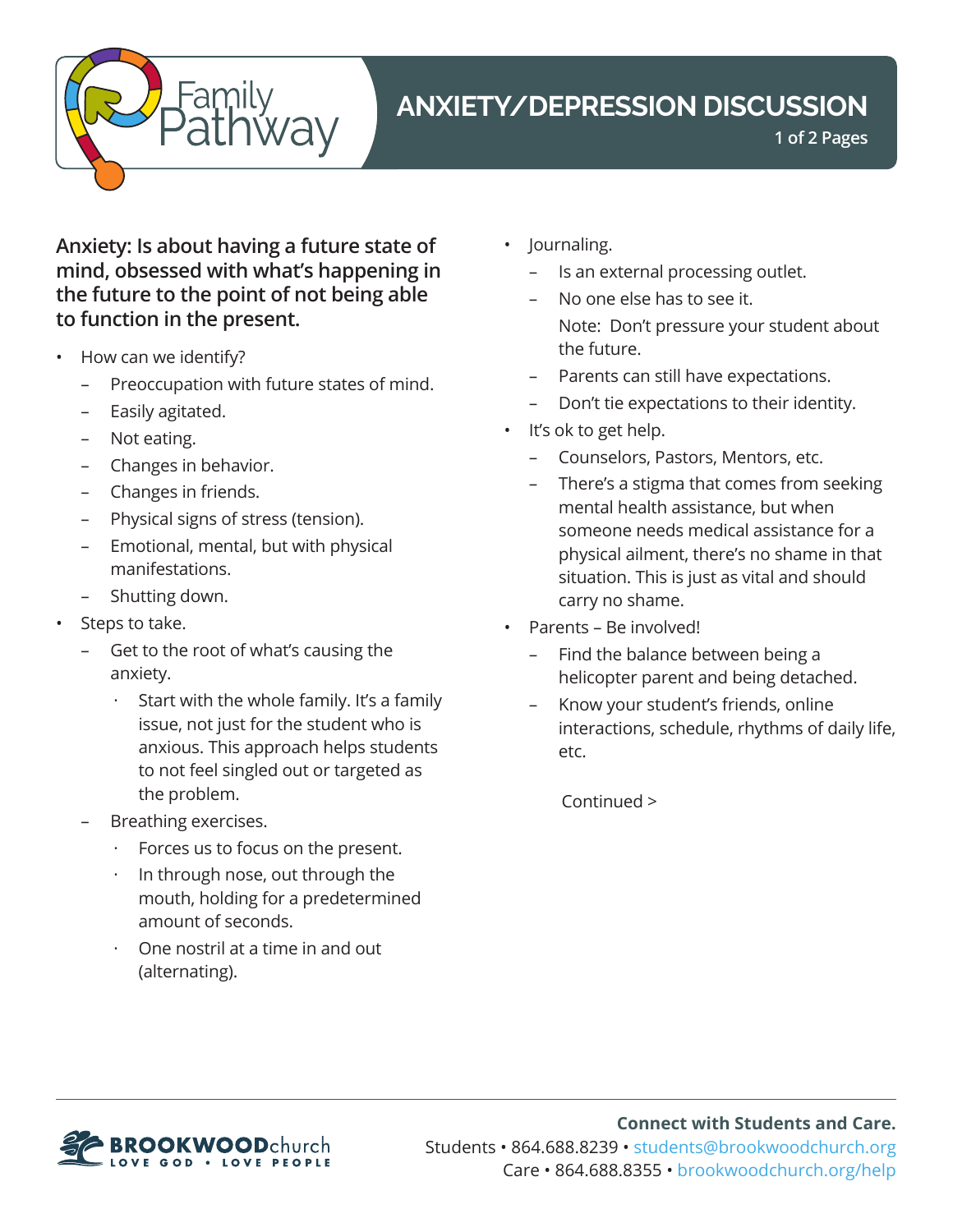

# **ANXIETY/DEPRESSION DISCUSSION**

**1 of 2 Pages**

**Anxiety: Is about having a future state of mind, obsessed with what's happening in the future to the point of not being able to function in the present.**

- How can we identify?
	- Preoccupation with future states of mind.
	- Easily agitated.
	- Not eating.
	- Changes in behavior.
	- Changes in friends.
	- Physical signs of stress (tension).
	- Emotional, mental, but with physical manifestations.
	- Shutting down.
- Steps to take.
	- Get to the root of what's causing the anxiety.
		- Start with the whole family. It's a family issue, not just for the student who is anxious. This approach helps students to not feel singled out or targeted as the problem.
	- Breathing exercises.
		- Forces us to focus on the present.
		- In through nose, out through the mouth, holding for a predetermined amount of seconds.
		- · One nostril at a time in and out (alternating).
- Journaling.
	- Is an external processing outlet.
	- No one else has to see it. Note: Don't pressure your student about the future.
	- Parents can still have expectations.
	- Don't tie expectations to their identity.
- It's ok to get help.
	- Counselors, Pastors, Mentors, etc.
	- There's a stigma that comes from seeking mental health assistance, but when someone needs medical assistance for a physical ailment, there's no shame in that situation. This is just as vital and should carry no shame.
- Parents Be involved!
	- Find the balance between being a helicopter parent and being detached.
	- Know your student's friends, online interactions, schedule, rhythms of daily life, etc.

Continued >



**Connect with Students and Care.** Students • 864.688.8239 • students@brookwoodchurch.org Care • 864.688.8355 • [brookwoodchurch.org/help](https://www.brookwoodchurch.org/help/)